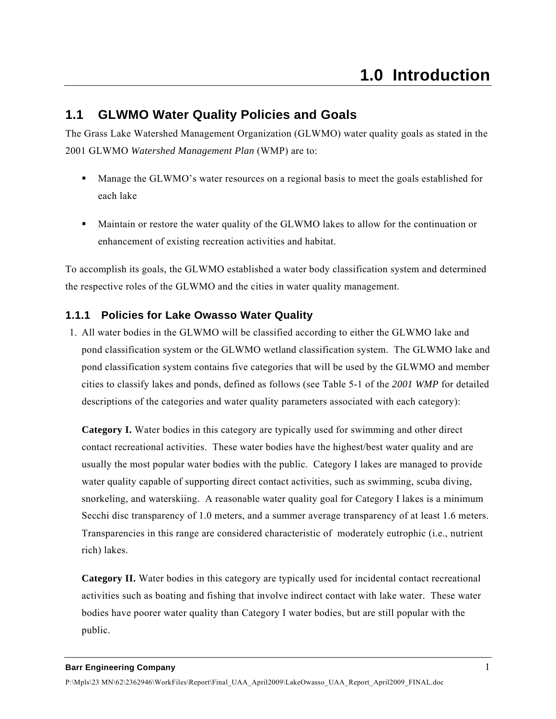# **1.1 GLWMO Water Quality Policies and Goals**

The Grass Lake Watershed Management Organization (GLWMO) water quality goals as stated in the 2001 GLWMO *Watershed Management Plan* (WMP) are to:

- Manage the GLWMO's water resources on a regional basis to meet the goals established for each lake
- Maintain or restore the water quality of the GLWMO lakes to allow for the continuation or enhancement of existing recreation activities and habitat.

To accomplish its goals, the GLWMO established a water body classification system and determined the respective roles of the GLWMO and the cities in water quality management.

## **1.1.1 Policies for Lake Owasso Water Quality**

1. All water bodies in the GLWMO will be classified according to either the GLWMO lake and pond classification system or the GLWMO wetland classification system. The GLWMO lake and pond classification system contains five categories that will be used by the GLWMO and member cities to classify lakes and ponds, defined as follows (see Table 5-1 of the *2001 WMP* for detailed descriptions of the categories and water quality parameters associated with each category):

**Category I.** Water bodies in this category are typically used for swimming and other direct contact recreational activities. These water bodies have the highest/best water quality and are usually the most popular water bodies with the public. Category I lakes are managed to provide water quality capable of supporting direct contact activities, such as swimming, scuba diving, snorkeling, and waterskiing. A reasonable water quality goal for Category I lakes is a minimum Secchi disc transparency of 1.0 meters, and a summer average transparency of at least 1.6 meters. Transparencies in this range are considered characteristic of moderately eutrophic (i.e., nutrient rich) lakes.

**Category II.** Water bodies in this category are typically used for incidental contact recreational activities such as boating and fishing that involve indirect contact with lake water. These water bodies have poorer water quality than Category I water bodies, but are still popular with the public.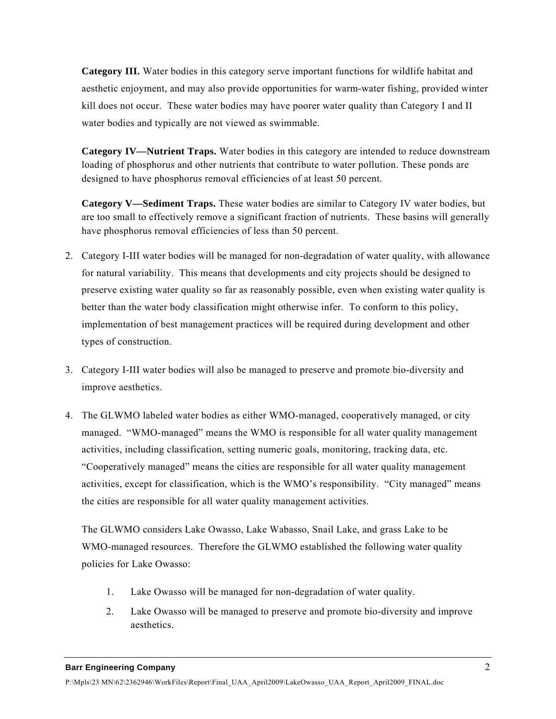**Category III.** Water bodies in this category serve important functions for wildlife habitat and aesthetic enjoyment, and may also provide opportunities for warm-water fishing, provided winter kill does not occur. These water bodies may have poorer water quality than Category I and II water bodies and typically are not viewed as swimmable.

**Category IV—Nutrient Traps.** Water bodies in this category are intended to reduce downstream loading of phosphorus and other nutrients that contribute to water pollution. These ponds are designed to have phosphorus removal efficiencies of at least 50 percent.

**Category V—Sediment Traps.** These water bodies are similar to Category IV water bodies, but are too small to effectively remove a significant fraction of nutrients. These basins will generally have phosphorus removal efficiencies of less than 50 percent.

- 2. Category I-III water bodies will be managed for non-degradation of water quality, with allowance for natural variability. This means that developments and city projects should be designed to preserve existing water quality so far as reasonably possible, even when existing water quality is better than the water body classification might otherwise infer. To conform to this policy, implementation of best management practices will be required during development and other types of construction.
- 3. Category I-III water bodies will also be managed to preserve and promote bio-diversity and improve aesthetics.
- 4. The GLWMO labeled water bodies as either WMO-managed, cooperatively managed, or city managed. "WMO-managed" means the WMO is responsible for all water quality management activities, including classification, setting numeric goals, monitoring, tracking data, etc. "Cooperatively managed" means the cities are responsible for all water quality management activities, except for classification, which is the WMO's responsibility. "City managed" means the cities are responsible for all water quality management activities.

The GLWMO considers Lake Owasso, Lake Wabasso, Snail Lake, and grass Lake to be WMO-managed resources. Therefore the GLWMO established the following water quality policies for Lake Owasso:

- 1. Lake Owasso will be managed for non-degradation of water quality.
- 2. Lake Owasso will be managed to preserve and promote bio-diversity and improve aesthetics.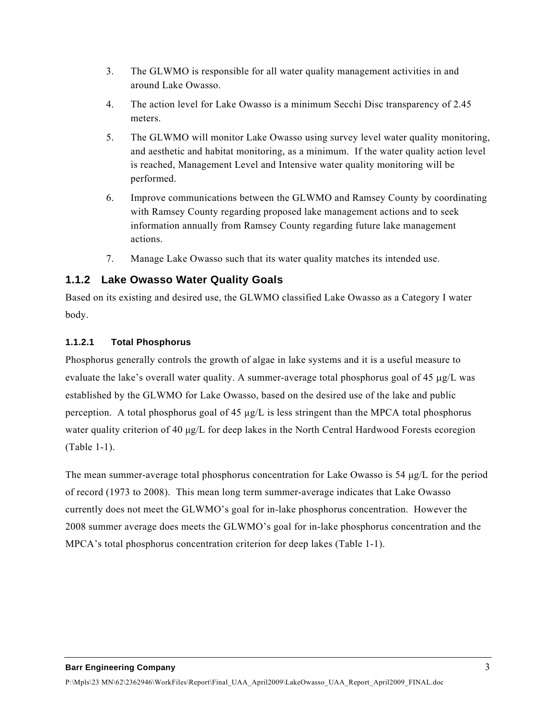- 3. The GLWMO is responsible for all water quality management activities in and around Lake Owasso.
- 4. The action level for Lake Owasso is a minimum Secchi Disc transparency of 2.45 meters.
- 5. The GLWMO will monitor Lake Owasso using survey level water quality monitoring, and aesthetic and habitat monitoring, as a minimum. If the water quality action level is reached, Management Level and Intensive water quality monitoring will be performed.
- 6. Improve communications between the GLWMO and Ramsey County by coordinating with Ramsey County regarding proposed lake management actions and to seek information annually from Ramsey County regarding future lake management actions.
- 7. Manage Lake Owasso such that its water quality matches its intended use.

## **1.1.2 Lake Owasso Water Quality Goals**

Based on its existing and desired use, the GLWMO classified Lake Owasso as a Category I water body.

## **1.1.2.1 Total Phosphorus**

Phosphorus generally controls the growth of algae in lake systems and it is a useful measure to evaluate the lake's overall water quality. A summer-average total phosphorus goal of 45 μg/L was established by the GLWMO for Lake Owasso, based on the desired use of the lake and public perception. A total phosphorus goal of 45 µg/L is less stringent than the MPCA total phosphorus water quality criterion of 40 μg/L for deep lakes in the North Central Hardwood Forests ecoregion (Table 1-1).

The mean summer-average total phosphorus concentration for Lake Owasso is 54 μg/L for the period of record (1973 to 2008). This mean long term summer-average indicates that Lake Owasso currently does not meet the GLWMO's goal for in-lake phosphorus concentration. However the 2008 summer average does meets the GLWMO's goal for in-lake phosphorus concentration and the MPCA's total phosphorus concentration criterion for deep lakes (Table 1-1).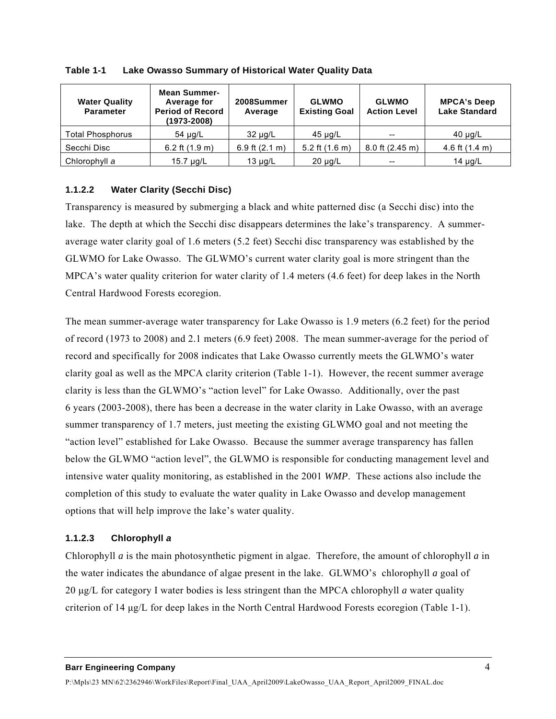| <b>Water Quality</b><br><b>Parameter</b> | <b>Mean Summer-</b><br>Average for<br><b>Period of Record</b><br>(1973-2008) | 2008Summer<br>Average    | <b>GLWMO</b><br><b>Existing Goal</b> | <b>GLWMO</b><br><b>Action Level</b> | <b>MPCA's Deep</b><br><b>Lake Standard</b> |
|------------------------------------------|------------------------------------------------------------------------------|--------------------------|--------------------------------------|-------------------------------------|--------------------------------------------|
| <b>Total Phosphorus</b>                  | $54 \mu g/L$                                                                 | $32 \mu g/L$             | $45 \mu g/L$                         |                                     | $40 \mu g/L$                               |
| Secchi Disc                              | 6.2 ft $(1.9 \text{ m})$                                                     | 6.9 ft $(2.1 \text{ m})$ | 5.2 ft $(1.6 m)$                     | $8.0$ ft (2.45 m)                   | 4.6 ft $(1.4 \text{ m})$                   |
| Chlorophyll a                            | 15.7 $\mu$ g/L                                                               | $13 \mu g/L$             | $20 \mu g/L$                         |                                     | 14 $\mu$ g/L                               |

**Table 1-1 Lake Owasso Summary of Historical Water Quality Data** 

#### **1.1.2.2 Water Clarity (Secchi Disc)**

Transparency is measured by submerging a black and white patterned disc (a Secchi disc) into the lake. The depth at which the Secchi disc disappears determines the lake's transparency. A summeraverage water clarity goal of 1.6 meters (5.2 feet) Secchi disc transparency was established by the GLWMO for Lake Owasso. The GLWMO's current water clarity goal is more stringent than the MPCA's water quality criterion for water clarity of 1.4 meters (4.6 feet) for deep lakes in the North Central Hardwood Forests ecoregion.

The mean summer-average water transparency for Lake Owasso is 1.9 meters (6.2 feet) for the period of record (1973 to 2008) and 2.1 meters (6.9 feet) 2008. The mean summer-average for the period of record and specifically for 2008 indicates that Lake Owasso currently meets the GLWMO's water clarity goal as well as the MPCA clarity criterion (Table 1-1). However, the recent summer average clarity is less than the GLWMO's "action level" for Lake Owasso. Additionally, over the past 6 years (2003-2008), there has been a decrease in the water clarity in Lake Owasso, with an average summer transparency of 1.7 meters, just meeting the existing GLWMO goal and not meeting the "action level" established for Lake Owasso. Because the summer average transparency has fallen below the GLWMO "action level", the GLWMO is responsible for conducting management level and intensive water quality monitoring, as established in the 2001 *WMP*. These actions also include the completion of this study to evaluate the water quality in Lake Owasso and develop management options that will help improve the lake's water quality.

#### **1.1.2.3 Chlorophyll** *a*

Chlorophyll *a* is the main photosynthetic pigment in algae. Therefore, the amount of chlorophyll *a* in the water indicates the abundance of algae present in the lake. GLWMO's chlorophyll *a* goal of 20 μg/L for category I water bodies is less stringent than the MPCA chlorophyll *a* water quality criterion of 14 μg/L for deep lakes in the North Central Hardwood Forests ecoregion (Table 1-1).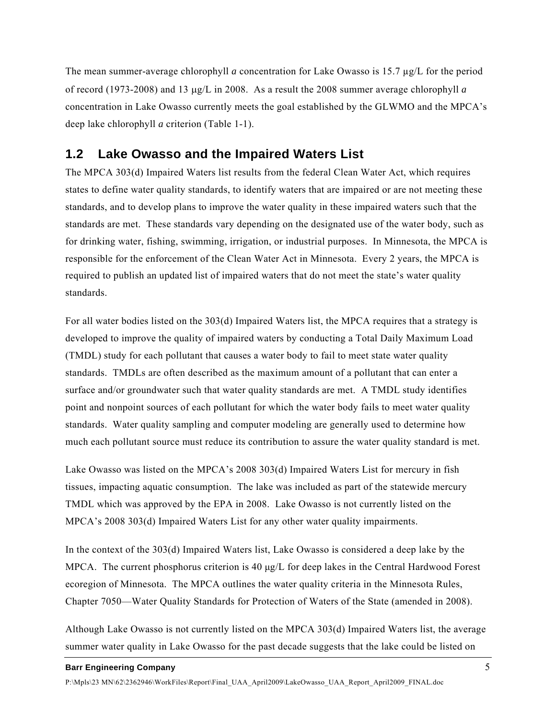The mean summer-average chlorophyll *a* concentration for Lake Owasso is 15.7 µg/L for the period of record (1973-2008) and 13 μg/L in 2008. As a result the 2008 summer average chlorophyll *a* concentration in Lake Owasso currently meets the goal established by the GLWMO and the MPCA's deep lake chlorophyll *a* criterion (Table 1-1).

# **1.2 Lake Owasso and the Impaired Waters List**

The MPCA 303(d) Impaired Waters list results from the federal Clean Water Act, which requires states to define water quality standards, to identify waters that are impaired or are not meeting these standards, and to develop plans to improve the water quality in these impaired waters such that the standards are met. These standards vary depending on the designated use of the water body, such as for drinking water, fishing, swimming, irrigation, or industrial purposes. In Minnesota, the MPCA is responsible for the enforcement of the Clean Water Act in Minnesota. Every 2 years, the MPCA is required to publish an updated list of impaired waters that do not meet the state's water quality standards.

For all water bodies listed on the 303(d) Impaired Waters list, the MPCA requires that a strategy is developed to improve the quality of impaired waters by conducting a Total Daily Maximum Load (TMDL) study for each pollutant that causes a water body to fail to meet state water quality standards. TMDLs are often described as the maximum amount of a pollutant that can enter a surface and/or groundwater such that water quality standards are met. A TMDL study identifies point and nonpoint sources of each pollutant for which the water body fails to meet water quality standards. Water quality sampling and computer modeling are generally used to determine how much each pollutant source must reduce its contribution to assure the water quality standard is met.

Lake Owasso was listed on the MPCA's 2008 303(d) Impaired Waters List for mercury in fish tissues, impacting aquatic consumption. The lake was included as part of the statewide mercury TMDL which was approved by the EPA in 2008. Lake Owasso is not currently listed on the MPCA's 2008 303(d) Impaired Waters List for any other water quality impairments.

In the context of the 303(d) Impaired Waters list, Lake Owasso is considered a deep lake by the MPCA. The current phosphorus criterion is 40  $\mu$ g/L for deep lakes in the Central Hardwood Forest ecoregion of Minnesota. The MPCA outlines the water quality criteria in the Minnesota Rules, Chapter 7050—Water Quality Standards for Protection of Waters of the State (amended in 2008).

Although Lake Owasso is not currently listed on the MPCA 303(d) Impaired Waters list, the average summer water quality in Lake Owasso for the past decade suggests that the lake could be listed on

#### **Barr Engineering Company** 5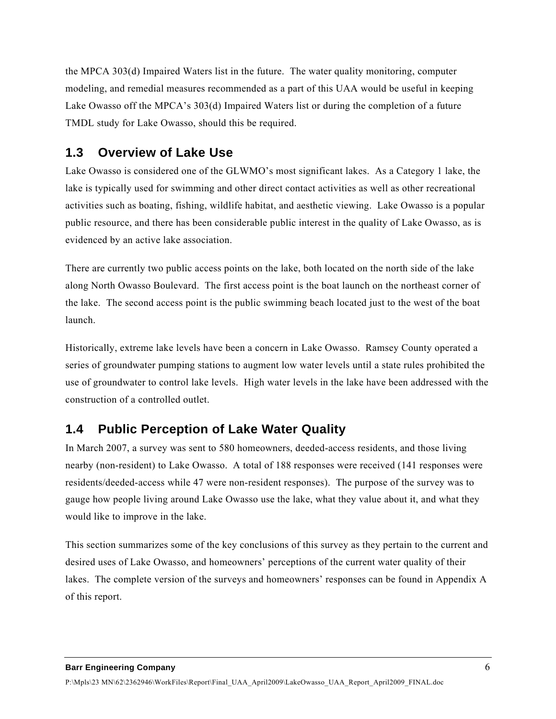the MPCA 303(d) Impaired Waters list in the future. The water quality monitoring, computer modeling, and remedial measures recommended as a part of this UAA would be useful in keeping Lake Owasso off the MPCA's 303(d) Impaired Waters list or during the completion of a future TMDL study for Lake Owasso, should this be required.

# **1.3 Overview of Lake Use**

Lake Owasso is considered one of the GLWMO's most significant lakes. As a Category 1 lake, the lake is typically used for swimming and other direct contact activities as well as other recreational activities such as boating, fishing, wildlife habitat, and aesthetic viewing. Lake Owasso is a popular public resource, and there has been considerable public interest in the quality of Lake Owasso, as is evidenced by an active lake association.

There are currently two public access points on the lake, both located on the north side of the lake along North Owasso Boulevard. The first access point is the boat launch on the northeast corner of the lake. The second access point is the public swimming beach located just to the west of the boat launch.

Historically, extreme lake levels have been a concern in Lake Owasso. Ramsey County operated a series of groundwater pumping stations to augment low water levels until a state rules prohibited the use of groundwater to control lake levels. High water levels in the lake have been addressed with the construction of a controlled outlet.

# **1.4 Public Perception of Lake Water Quality**

In March 2007, a survey was sent to 580 homeowners, deeded-access residents, and those living nearby (non-resident) to Lake Owasso. A total of 188 responses were received (141 responses were residents/deeded-access while 47 were non-resident responses). The purpose of the survey was to gauge how people living around Lake Owasso use the lake, what they value about it, and what they would like to improve in the lake.

This section summarizes some of the key conclusions of this survey as they pertain to the current and desired uses of Lake Owasso, and homeowners' perceptions of the current water quality of their lakes. The complete version of the surveys and homeowners' responses can be found in Appendix A of this report.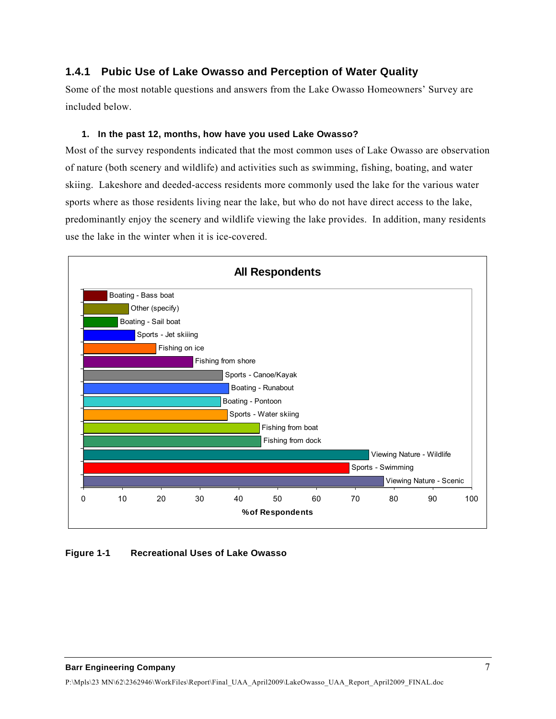## **1.4.1 Pubic Use of Lake Owasso and Perception of Water Quality**

Some of the most notable questions and answers from the Lake Owasso Homeowners' Survey are included below.

#### **1. In the past 12, months, how have you used Lake Owasso?**

Most of the survey respondents indicated that the most common uses of Lake Owasso are observation of nature (both scenery and wildlife) and activities such as swimming, fishing, boating, and water skiing. Lakeshore and deeded-access residents more commonly used the lake for the various water sports where as those residents living near the lake, but who do not have direct access to the lake, predominantly enjoy the scenery and wildlife viewing the lake provides. In addition, many residents use the lake in the winter when it is ice-covered.



**Figure 1-1 Recreational Uses of Lake Owasso**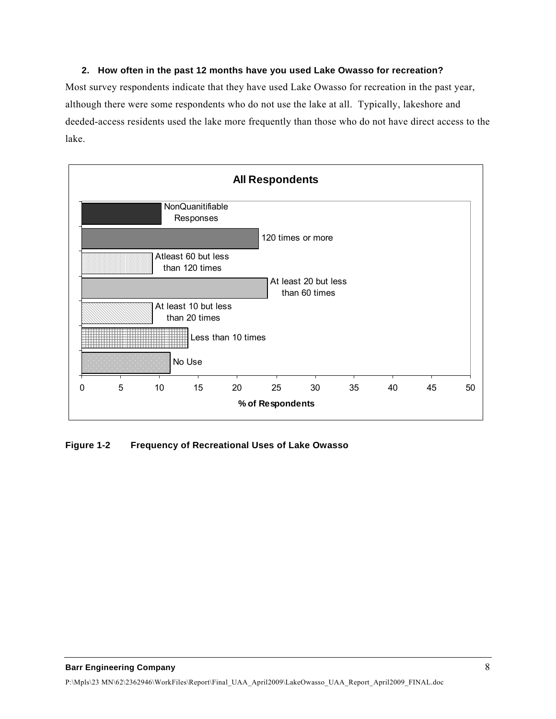#### **2. How often in the past 12 months have you used Lake Owasso for recreation?**

Most survey respondents indicate that they have used Lake Owasso for recreation in the past year, although there were some respondents who do not use the lake at all. Typically, lakeshore and deeded-access residents used the lake more frequently than those who do not have direct access to the lake.



**Figure 1-2 Frequency of Recreational Uses of Lake Owasso**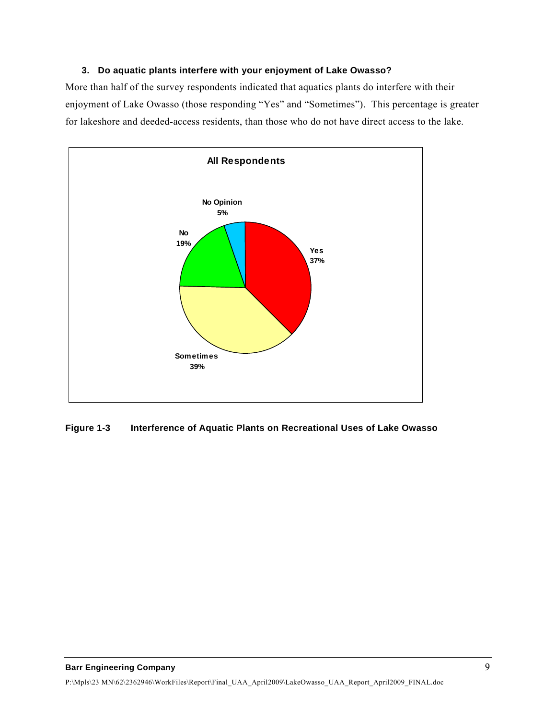#### **3. Do aquatic plants interfere with your enjoyment of Lake Owasso?**

More than half of the survey respondents indicated that aquatics plants do interfere with their enjoyment of Lake Owasso (those responding "Yes" and "Sometimes"). This percentage is greater for lakeshore and deeded-access residents, than those who do not have direct access to the lake.



**Figure 1-3 Interference of Aquatic Plants on Recreational Uses of Lake Owasso**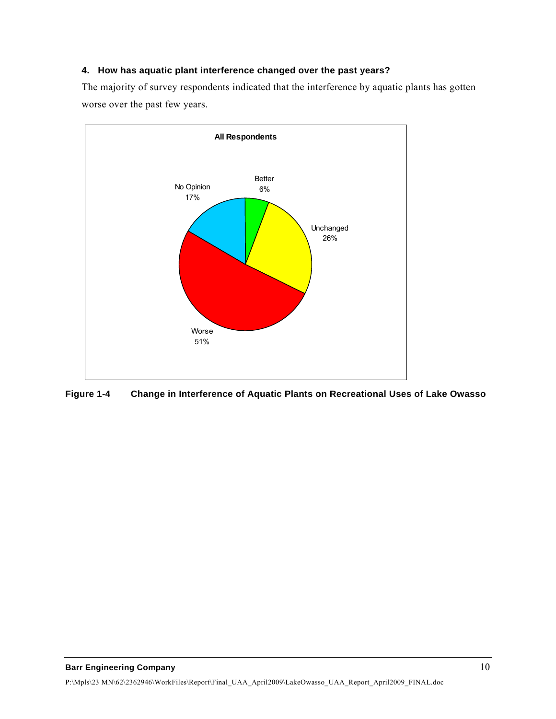### **4. How has aquatic plant interference changed over the past years?**

The majority of survey respondents indicated that the interference by aquatic plants has gotten worse over the past few years.



**Figure 1-4 Change in Interference of Aquatic Plants on Recreational Uses of Lake Owasso**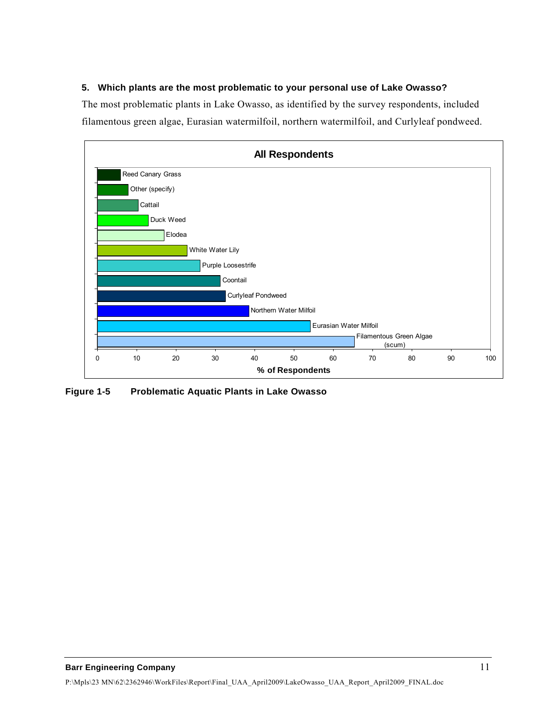#### **5. Which plants are the most problematic to your personal use of Lake Owasso?**

The most problematic plants in Lake Owasso, as identified by the survey respondents, included filamentous green algae, Eurasian watermilfoil, northern watermilfoil, and Curlyleaf pondweed.



**Figure 1-5 Problematic Aquatic Plants in Lake Owasso**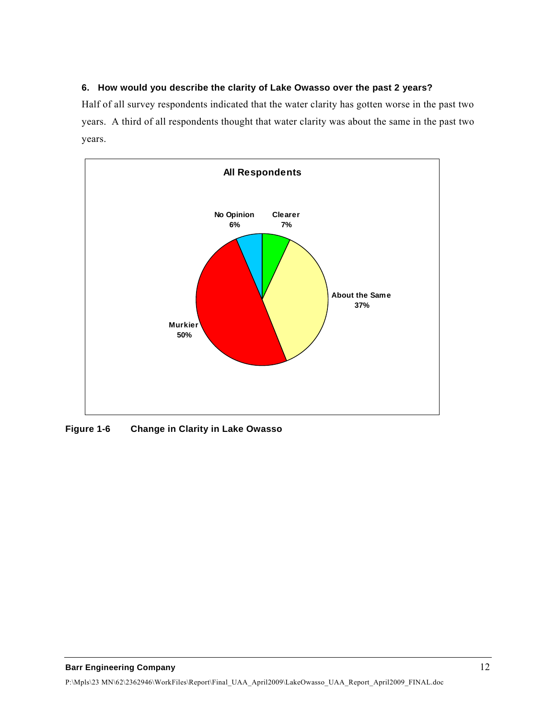#### **6. How would you describe the clarity of Lake Owasso over the past 2 years?**

Half of all survey respondents indicated that the water clarity has gotten worse in the past two years. A third of all respondents thought that water clarity was about the same in the past two years.



**Figure 1-6 Change in Clarity in Lake Owasso**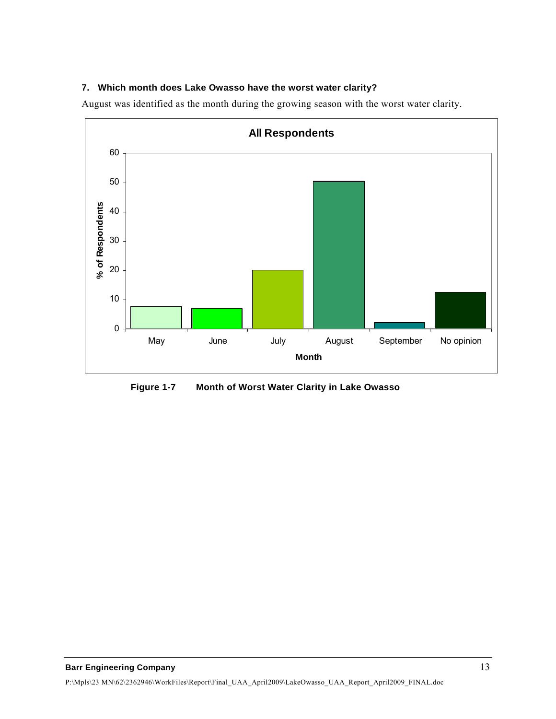## **7. Which month does Lake Owasso have the worst water clarity?**

August was identified as the month during the growing season with the worst water clarity.



**Figure 1-7 Month of Worst Water Clarity in Lake Owasso**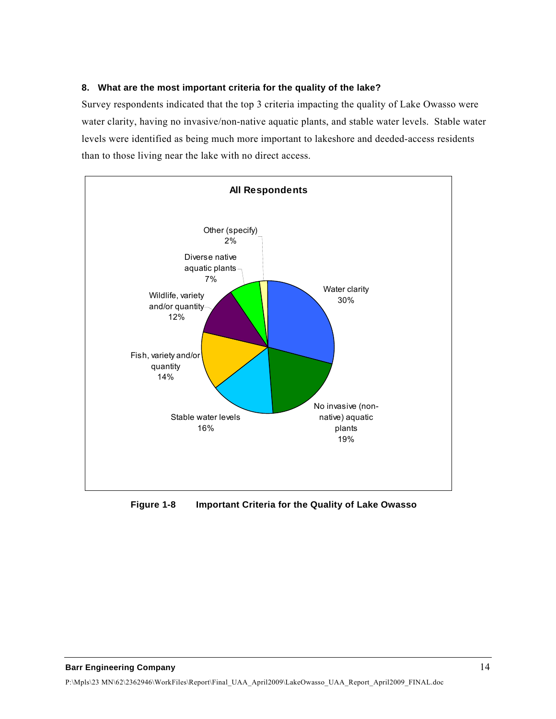#### **8. What are the most important criteria for the quality of the lake?**

Survey respondents indicated that the top 3 criteria impacting the quality of Lake Owasso were water clarity, having no invasive/non-native aquatic plants, and stable water levels. Stable water levels were identified as being much more important to lakeshore and deeded-access residents than to those living near the lake with no direct access.



**Figure 1-8 Important Criteria for the Quality of Lake Owasso**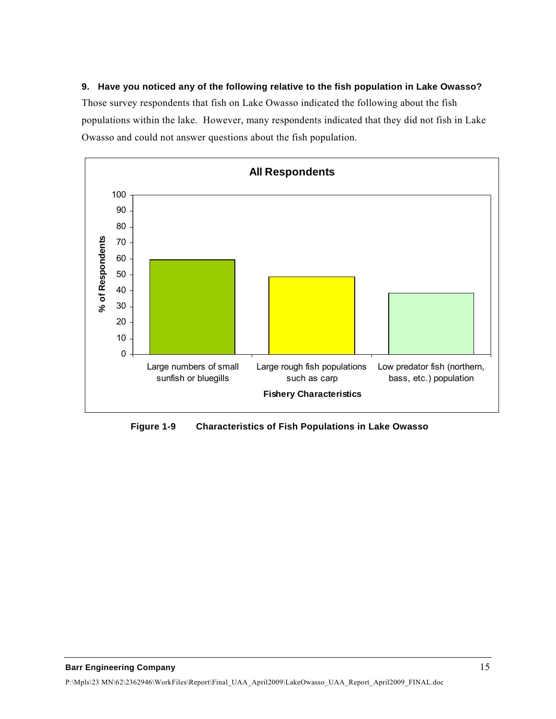**9. Have you noticed any of the following relative to the fish population in Lake Owasso?**  Those survey respondents that fish on Lake Owasso indicated the following about the fish populations within the lake. However, many respondents indicated that they did not fish in Lake Owasso and could not answer questions about the fish population.



**Figure 1-9 Characteristics of Fish Populations in Lake Owasso**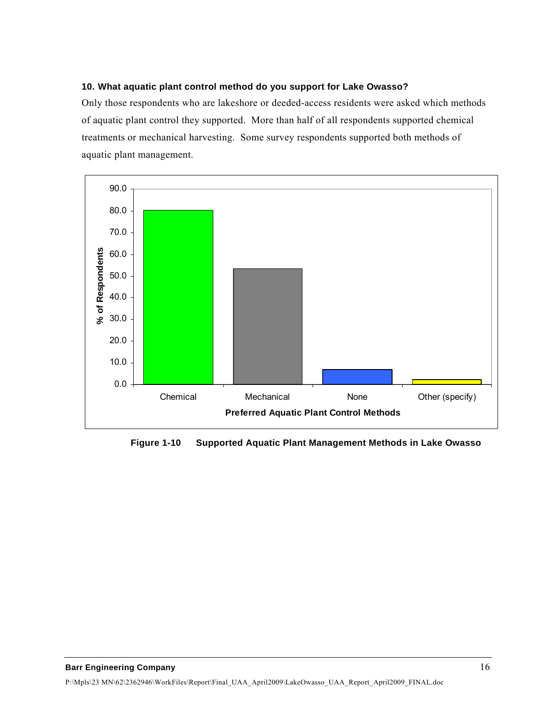#### **10. What aquatic plant control method do you support for Lake Owasso?**

Only those respondents who are lakeshore or deeded-access residents were asked which methods of aquatic plant control they supported. More than half of all respondents supported chemical treatments or mechanical harvesting. Some survey respondents supported both methods of aquatic plant management.



**Figure 1-10 Supported Aquatic Plant Management Methods in Lake Owasso**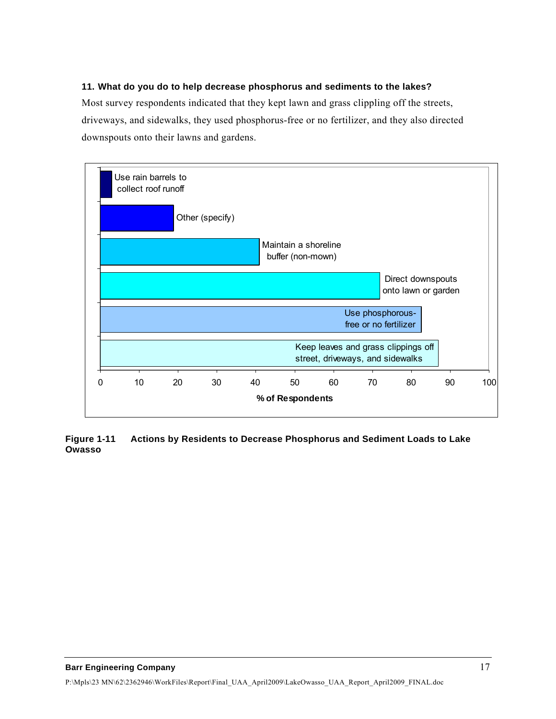#### **11. What do you do to help decrease phosphorus and sediments to the lakes?**

Most survey respondents indicated that they kept lawn and grass clippling off the streets, driveways, and sidewalks, they used phosphorus-free or no fertilizer, and they also directed downspouts onto their lawns and gardens.



**Figure 1-11 Actions by Residents to Decrease Phosphorus and Sediment Loads to Lake Owasso**